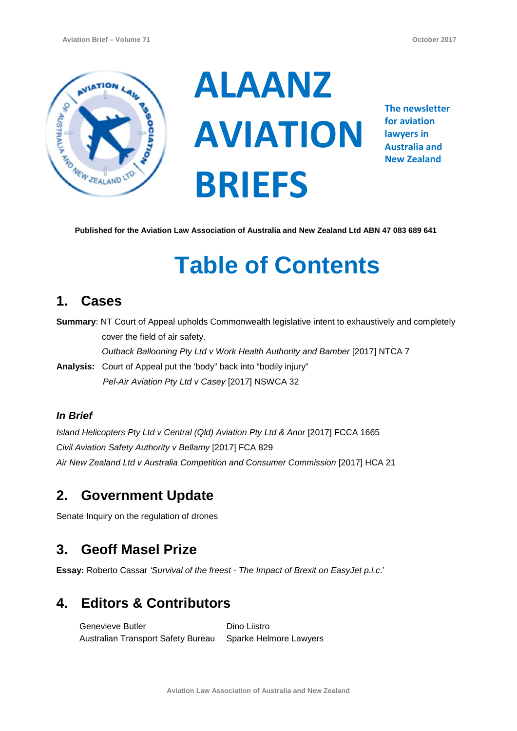

**ALAANZ AVIATION BRIEFS**

**The newsletter for aviation lawyers in Australia and New Zealand**

**Published for the Aviation Law Association of Australia and New Zealand Ltd ABN 47 083 689 641**

# **Table of Contents**

## **1. Cases**

**Summary**: NT Court of Appeal upholds Commonwealth legislative intent to exhaustively and completely cover the field of air safety.

*Outback Ballooning Pty Ltd v Work Health Authority and Bamber* [2017] NTCA 7

**Analysis:** Court of Appeal put the 'body" back into "bodily injury"  *Pel-Air Aviation Pty Ltd v Casey* [2017] NSWCA 32

#### *In Brief*

*Island Helicopters Pty Ltd v Central (Qld) Aviation Pty Ltd & Anor* [2017] FCCA 1665 *Civil Aviation Safety Authority v Bellamy* [2017] FCA 829 *Air New Zealand Ltd v Australia Competition and Consumer Commission* [2017] HCA 21

## **2. Government Update**

Senate Inquiry on the regulation of drones

## **3. Geoff Masel Prize**

**Essay:** Roberto Cassar *'Survival of the freest - The Impact of Brexit on EasyJet p.l.c*.'

## **4. Editors & Contributors**

Genevieve Butler Australian Transport Safety Bureau Sparke Helmore Lawyers Dino Liistro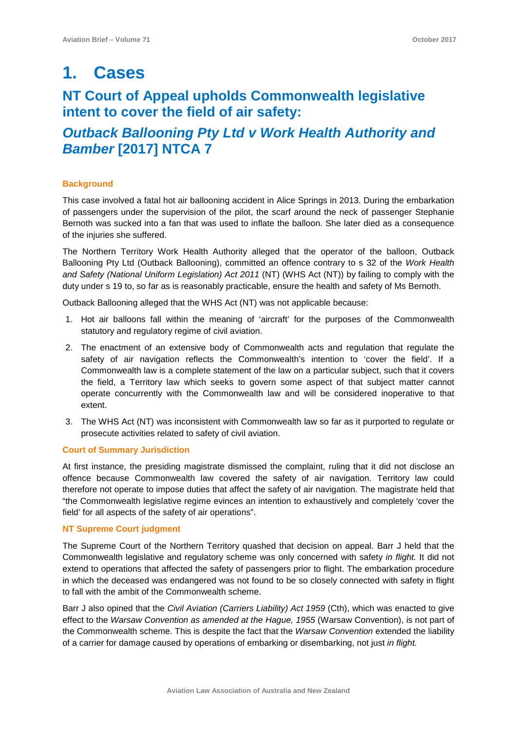## **1. Cases**

## **NT Court of Appeal upholds Commonwealth legislative intent to cover the field of air safety:**

## *Outback Ballooning Pty Ltd v Work Health Authority and Bamber* **[2017] NTCA 7**

#### **Background**

This case involved a fatal hot air ballooning accident in Alice Springs in 2013. During the embarkation of passengers under the supervision of the pilot, the scarf around the neck of passenger Stephanie Bernoth was sucked into a fan that was used to inflate the balloon. She later died as a consequence of the injuries she suffered.

The Northern Territory Work Health Authority alleged that the operator of the balloon, Outback Ballooning Pty Ltd (Outback Ballooning), committed an offence contrary to s 32 of the *Work Health and Safety (National Uniform Legislation) Act 2011* (NT) (WHS Act (NT)) by failing to comply with the duty under s 19 to, so far as is reasonably practicable, ensure the health and safety of Ms Bernoth.

Outback Ballooning alleged that the WHS Act (NT) was not applicable because:

- 1. Hot air balloons fall within the meaning of 'aircraft' for the purposes of the Commonwealth statutory and regulatory regime of civil aviation.
- 2. The enactment of an extensive body of Commonwealth acts and regulation that regulate the safety of air navigation reflects the Commonwealth's intention to 'cover the field'. If a Commonwealth law is a complete statement of the law on a particular subject, such that it covers the field, a Territory law which seeks to govern some aspect of that subject matter cannot operate concurrently with the Commonwealth law and will be considered inoperative to that extent.
- 3. The WHS Act (NT) was inconsistent with Commonwealth law so far as it purported to regulate or prosecute activities related to safety of civil aviation.

#### **Court of Summary Jurisdiction**

At first instance, the presiding magistrate dismissed the complaint, ruling that it did not disclose an offence because Commonwealth law covered the safety of air navigation. Territory law could therefore not operate to impose duties that affect the safety of air navigation. The magistrate held that "the Commonwealth legislative regime evinces an intention to exhaustively and completely 'cover the field' for all aspects of the safety of air operations".

#### **NT Supreme Court judgment**

The Supreme Court of the Northern Territory quashed that decision on appeal. Barr J held that the Commonwealth legislative and regulatory scheme was only concerned with safety *in flight.* It did not extend to operations that affected the safety of passengers prior to flight. The embarkation procedure in which the deceased was endangered was not found to be so closely connected with safety in flight to fall with the ambit of the Commonwealth scheme.

Barr J also opined that the *Civil Aviation (Carriers Liability) Act 1959* (Cth), which was enacted to give effect to the *Warsaw Convention as amended at the Hague, 1955* (Warsaw Convention), is not part of the Commonwealth scheme. This is despite the fact that the *Warsaw Convention* extended the liability of a carrier for damage caused by operations of embarking or disembarking, not just *in flight.*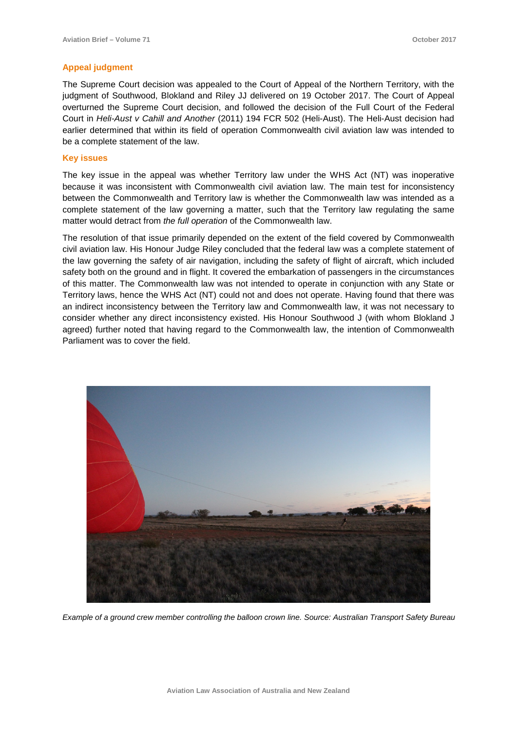#### **Appeal judgment**

The Supreme Court decision was appealed to the Court of Appeal of the Northern Territory, with the judgment of Southwood, Blokland and Riley JJ delivered on 19 October 2017. The Court of Appeal overturned the Supreme Court decision, and followed the decision of the Full Court of the Federal Court in *Heli-Aust v Cahill and Another* (2011) 194 FCR 502 (Heli-Aust). The Heli-Aust decision had earlier determined that within its field of operation Commonwealth civil aviation law was intended to be a complete statement of the law.

#### **Key issues**

The key issue in the appeal was whether Territory law under the WHS Act (NT) was inoperative because it was inconsistent with Commonwealth civil aviation law. The main test for inconsistency between the Commonwealth and Territory law is whether the Commonwealth law was intended as a complete statement of the law governing a matter, such that the Territory law regulating the same matter would detract from *the full operation* of the Commonwealth law.

The resolution of that issue primarily depended on the extent of the field covered by Commonwealth civil aviation law. His Honour Judge Riley concluded that the federal law was a complete statement of the law governing the safety of air navigation, including the safety of flight of aircraft, which included safety both on the ground and in flight. It covered the embarkation of passengers in the circumstances of this matter. The Commonwealth law was not intended to operate in conjunction with any State or Territory laws, hence the WHS Act (NT) could not and does not operate. Having found that there was an indirect inconsistency between the Territory law and Commonwealth law, it was not necessary to consider whether any direct inconsistency existed. His Honour Southwood J (with whom Blokland J agreed) further noted that having regard to the Commonwealth law, the intention of Commonwealth Parliament was to cover the field.



*Example of a ground crew member controlling the balloon crown line. Source: Australian Transport Safety Bureau*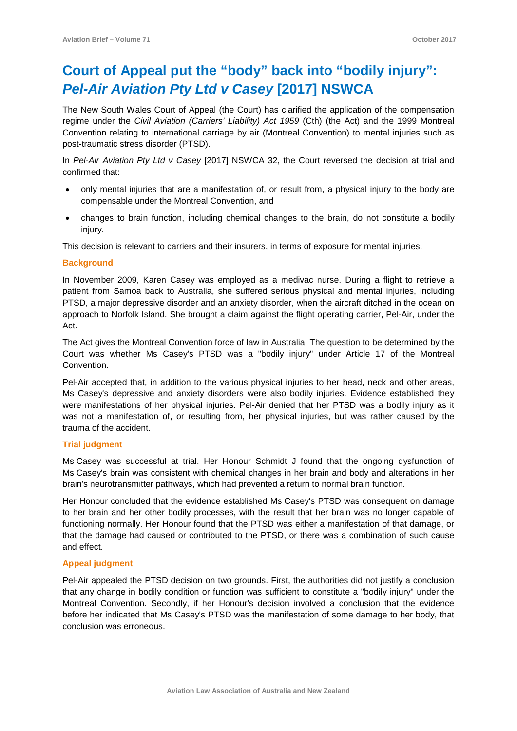## **Court of Appeal put the "body" back into "bodily injury":**  *Pel-Air Aviation Pty Ltd v Casey* **[2017] NSWCA**

The New South Wales Court of Appeal (the Court) has clarified the application of the compensation regime under the *Civil Aviation (Carriers' Liability) Act 1959* (Cth) (the Act) and the 1999 Montreal Convention relating to international carriage by air (Montreal Convention) to mental injuries such as post-traumatic stress disorder (PTSD).

In *Pel-Air Aviation Pty Ltd v Casey* [2017] NSWCA 32, the Court reversed the decision at trial and confirmed that:

- only mental injuries that are a manifestation of, or result from, a physical injury to the body are compensable under the Montreal Convention, and
- changes to brain function, including chemical changes to the brain, do not constitute a bodily injury.

This decision is relevant to carriers and their insurers, in terms of exposure for mental injuries.

#### **Background**

In November 2009, Karen Casey was employed as a medivac nurse. During a flight to retrieve a patient from Samoa back to Australia, she suffered serious physical and mental injuries, including PTSD, a major depressive disorder and an anxiety disorder, when the aircraft ditched in the ocean on approach to Norfolk Island. She brought a claim against the flight operating carrier, Pel-Air, under the Act.

The Act gives the Montreal Convention force of law in Australia. The question to be determined by the Court was whether Ms Casey's PTSD was a "bodily injury" under Article 17 of the Montreal Convention.

Pel-Air accepted that, in addition to the various physical injuries to her head, neck and other areas, Ms Casey's depressive and anxiety disorders were also bodily injuries. Evidence established they were manifestations of her physical injuries. Pel-Air denied that her PTSD was a bodily injury as it was not a manifestation of, or resulting from, her physical injuries, but was rather caused by the trauma of the accident.

#### **Trial judgment**

Ms Casey was successful at trial. Her Honour Schmidt J found that the ongoing dysfunction of Ms Casey's brain was consistent with chemical changes in her brain and body and alterations in her brain's neurotransmitter pathways, which had prevented a return to normal brain function.

Her Honour concluded that the evidence established Ms Casey's PTSD was consequent on damage to her brain and her other bodily processes, with the result that her brain was no longer capable of functioning normally. Her Honour found that the PTSD was either a manifestation of that damage, or that the damage had caused or contributed to the PTSD, or there was a combination of such cause and effect.

#### **Appeal judgment**

Pel-Air appealed the PTSD decision on two grounds. First, the authorities did not justify a conclusion that any change in bodily condition or function was sufficient to constitute a "bodily injury" under the Montreal Convention. Secondly, if her Honour's decision involved a conclusion that the evidence before her indicated that Ms Casey's PTSD was the manifestation of some damage to her body, that conclusion was erroneous.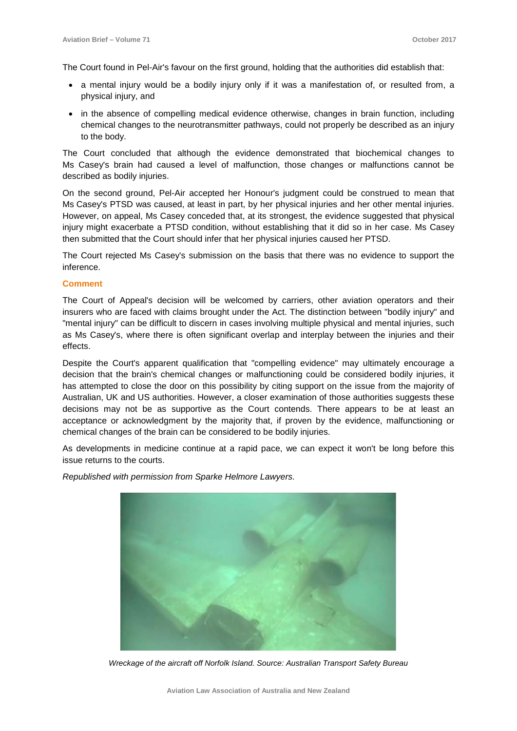The Court found in Pel-Air's favour on the first ground, holding that the authorities did establish that:

- a mental injury would be a bodily injury only if it was a manifestation of, or resulted from, a physical injury, and
- in the absence of compelling medical evidence otherwise, changes in brain function, including chemical changes to the neurotransmitter pathways, could not properly be described as an injury to the body.

The Court concluded that although the evidence demonstrated that biochemical changes to Ms Casey's brain had caused a level of malfunction, those changes or malfunctions cannot be described as bodily injuries.

On the second ground, Pel-Air accepted her Honour's judgment could be construed to mean that Ms Casey's PTSD was caused, at least in part, by her physical injuries and her other mental injuries. However, on appeal, Ms Casey conceded that, at its strongest, the evidence suggested that physical injury might exacerbate a PTSD condition, without establishing that it did so in her case. Ms Casey then submitted that the Court should infer that her physical injuries caused her PTSD.

The Court rejected Ms Casey's submission on the basis that there was no evidence to support the inference.

#### **Comment**

The Court of Appeal's decision will be welcomed by carriers, other aviation operators and their insurers who are faced with claims brought under the Act. The distinction between "bodily injury" and "mental injury" can be difficult to discern in cases involving multiple physical and mental injuries, such as Ms Casey's, where there is often significant overlap and interplay between the injuries and their effects.

Despite the Court's apparent qualification that "compelling evidence" may ultimately encourage a decision that the brain's chemical changes or malfunctioning could be considered bodily injuries, it has attempted to close the door on this possibility by citing support on the issue from the majority of Australian, UK and US authorities. However, a closer examination of those authorities suggests these decisions may not be as supportive as the Court contends. There appears to be at least an acceptance or acknowledgment by the majority that, if proven by the evidence, malfunctioning or chemical changes of the brain can be considered to be bodily injuries.

As developments in medicine continue at a rapid pace, we can expect it won't be long before this issue returns to the courts.

*Republished with permission from Sparke Helmore Lawyers.*



*Wreckage of the aircraft off Norfolk Island. Source: Australian Transport Safety Bureau*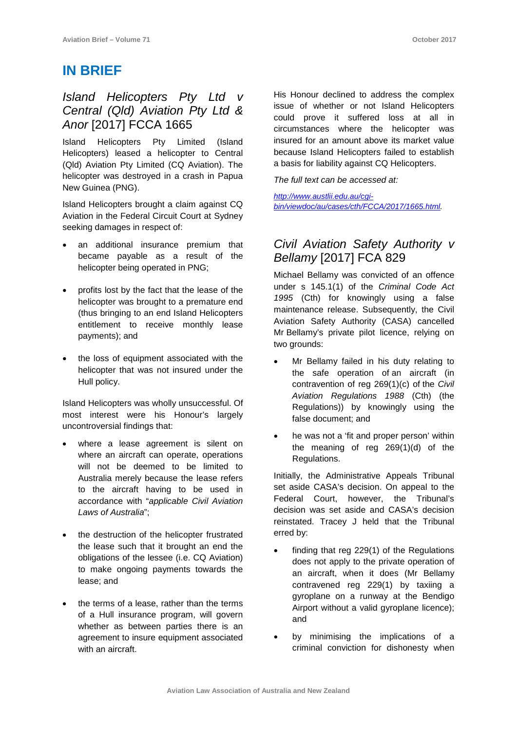## **IN BRIEF**

### *Island Helicopters Pty Ltd v Central (Qld) Aviation Pty Ltd & Anor* [2017] FCCA 1665

Island Helicopters Pty Limited (Island Helicopters) leased a helicopter to Central (Qld) Aviation Pty Limited (CQ Aviation). The helicopter was destroyed in a crash in Papua New Guinea (PNG).

Island Helicopters brought a claim against CQ Aviation in the Federal Circuit Court at Sydney seeking damages in respect of:

- an additional insurance premium that became payable as a result of the helicopter being operated in PNG;
- profits lost by the fact that the lease of the helicopter was brought to a premature end (thus bringing to an end Island Helicopters entitlement to receive monthly lease payments); and
- the loss of equipment associated with the helicopter that was not insured under the Hull policy.

Island Helicopters was wholly unsuccessful. Of most interest were his Honour's largely uncontroversial findings that:

- where a lease agreement is silent on where an aircraft can operate, operations will not be deemed to be limited to Australia merely because the lease refers to the aircraft having to be used in accordance with "*applicable Civil Aviation Laws of Australia*";
- the destruction of the helicopter frustrated the lease such that it brought an end the obligations of the lessee (i.e. CQ Aviation) to make ongoing payments towards the lease; and
- the terms of a lease, rather than the terms of a Hull insurance program, will govern whether as between parties there is an agreement to insure equipment associated with an aircraft.

His Honour declined to address the complex issue of whether or not Island Helicopters could prove it suffered loss at all in circumstances where the helicopter was insured for an amount above its market value because Island Helicopters failed to establish a basis for liability against CQ Helicopters.

*The full text can be accessed at:*

*[http://www.austlii.edu.au/cgi](http://www.austlii.edu.au/cgi-bin/viewdoc/au/cases/cth/FCCA/2017/1665.html)[bin/viewdoc/au/cases/cth/FCCA/2017/1665.html.](http://www.austlii.edu.au/cgi-bin/viewdoc/au/cases/cth/FCCA/2017/1665.html)*

## *Civil Aviation Safety Authority v Bellamy* [2017] FCA 829

Michael Bellamy was convicted of an offence under s 145.1(1) of the *Criminal Code Act 1995* (Cth) for knowingly using a false maintenance release. Subsequently, the Civil Aviation Safety Authority (CASA) cancelled Mr Bellamy's private pilot licence, relying on two grounds:

- Mr Bellamy failed in his duty relating to the safe operation of an aircraft (in contravention of reg 269(1)(c) of the *Civil Aviation Regulations 1988* (Cth) (the Regulations)) by knowingly using the false document; and
- he was not a 'fit and proper person' within the meaning of reg 269(1)(d) of the Regulations.

Initially, the Administrative Appeals Tribunal set aside CASA's decision. On appeal to the Federal Court, however, the Tribunal's decision was set aside and CASA's decision reinstated. Tracey J held that the Tribunal erred by:

- finding that reg  $229(1)$  of the Regulations does not apply to the private operation of an aircraft, when it does (Mr Bellamy contravened reg 229(1) by taxiing a gyroplane on a runway at the Bendigo Airport without a valid gyroplane licence); and
- by minimising the implications of a criminal conviction for dishonesty when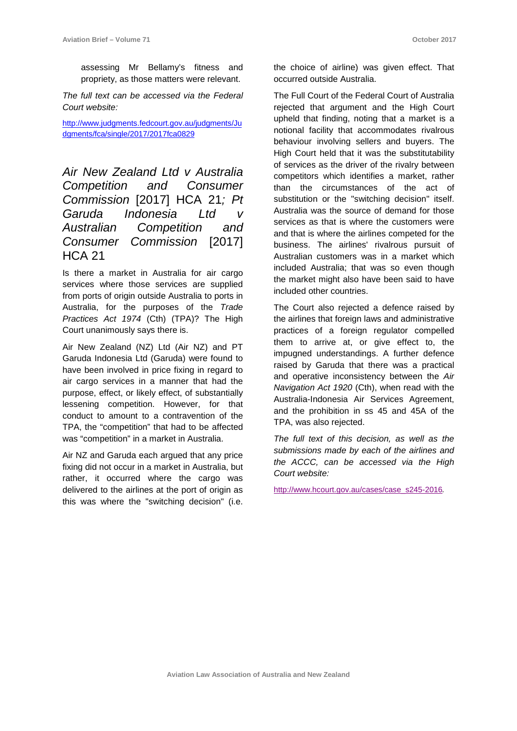assessing Mr Bellamy's fitness and propriety, as those matters were relevant.

*The full text can be accessed via the Federal Court website:*

[http://www.judgments.fedcourt.gov.au/judgments/Ju](http://www.judgments.fedcourt.gov.au/judgments/Judgments/fca/single/2017/2017fca0829) [dgments/fca/single/2017/2017fca0829](http://www.judgments.fedcourt.gov.au/judgments/Judgments/fca/single/2017/2017fca0829)

*Air New Zealand Ltd v Australia Competition and Consumer Commission* [2017] HCA 21*; Pt Garuda Indonesia Ltd v Australian Competition and Consumer Commission* [2017] HCA 21

Is there a market in Australia for air cargo services where those services are supplied from ports of origin outside Australia to ports in Australia, for the purposes of the *Trade Practices Act 1974* (Cth) (TPA)? The High Court unanimously says there is.

Air New Zealand (NZ) Ltd (Air NZ) and PT Garuda Indonesia Ltd (Garuda) were found to have been involved in price fixing in regard to air cargo services in a manner that had the purpose, effect, or likely effect, of substantially lessening competition. However, for that conduct to amount to a contravention of the TPA, the "competition" that had to be affected was "competition" in a market in Australia.

Air NZ and Garuda each argued that any price fixing did not occur in a market in Australia, but rather, it occurred where the cargo was delivered to the airlines at the port of origin as this was where the "switching decision" (i.e.

the choice of airline) was given effect. That occurred outside Australia.

The Full Court of the Federal Court of Australia rejected that argument and the High Court upheld that finding, noting that a market is a notional facility that accommodates rivalrous behaviour involving sellers and buyers. The High Court held that it was the substitutability of services as the driver of the rivalry between competitors which identifies a market, rather than the circumstances of the act of substitution or the "switching decision" itself. Australia was the source of demand for those services as that is where the customers were and that is where the airlines competed for the business. The airlines' rivalrous pursuit of Australian customers was in a market which included Australia; that was so even though the market might also have been said to have included other countries.

The Court also rejected a defence raised by the airlines that foreign laws and administrative practices of a foreign regulator compelled them to arrive at, or give effect to, the impugned understandings. A further defence raised by Garuda that there was a practical and operative inconsistency between the *Air Navigation Act 1920* (Cth), when read with the Australia-Indonesia Air Services Agreement, and the prohibition in ss 45 and 45A of the TPA, was also rejected.

*The full text of this decision, as well as the submissions made by each of the airlines and the ACCC, can be accessed via the High Court website:*

[http://www.hcourt.gov.au/cases/case\\_s245-2016](http://www.hcourt.gov.au/cases/case_s245-2016)*.*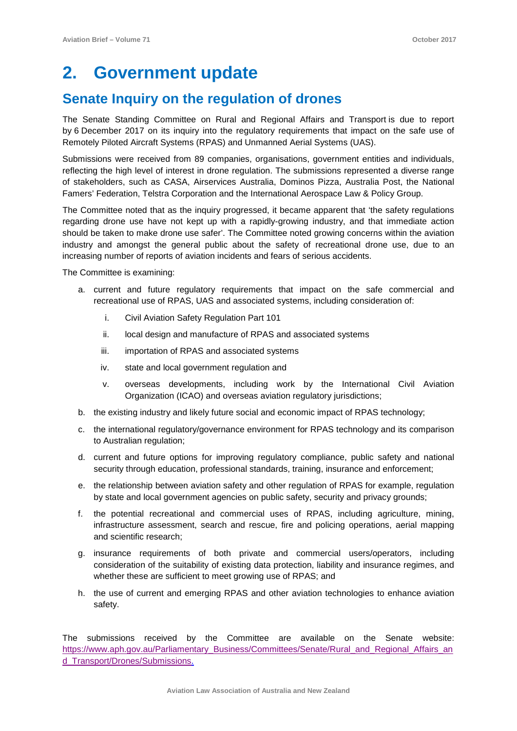## **2. Government update**

## **Senate Inquiry on the regulation of drones**

The Senate Standing Committee on Rural and Regional Affairs and Transport is due to report by 6 December 2017 on its inquiry into the regulatory requirements that impact on the safe use of Remotely Piloted Aircraft Systems (RPAS) and Unmanned Aerial Systems (UAS).

Submissions were received from 89 companies, organisations, government entities and individuals, reflecting the high level of interest in drone regulation. The submissions represented a diverse range of stakeholders, such as CASA, Airservices Australia, Dominos Pizza, Australia Post, the National Famers' Federation, Telstra Corporation and the International Aerospace Law & Policy Group.

The Committee noted that as the inquiry progressed, it became apparent that 'the safety regulations regarding drone use have not kept up with a rapidly-growing industry, and that immediate action should be taken to make drone use safer'. The Committee noted growing concerns within the aviation industry and amongst the general public about the safety of recreational drone use, due to an increasing number of reports of aviation incidents and fears of serious accidents.

The Committee is examining:

- a. current and future regulatory requirements that impact on the safe commercial and recreational use of RPAS, UAS and associated systems, including consideration of:
	- i. Civil Aviation Safety Regulation Part 101
	- ii. local design and manufacture of RPAS and associated systems
	- iii. importation of RPAS and associated systems
	- iv. state and local government regulation and
	- v. overseas developments, including work by the International Civil Aviation Organization (ICAO) and overseas aviation regulatory jurisdictions;
- b. the existing industry and likely future social and economic impact of RPAS technology;
- c. the international regulatory/governance environment for RPAS technology and its comparison to Australian regulation;
- d. current and future options for improving regulatory compliance, public safety and national security through education, professional standards, training, insurance and enforcement;
- e. the relationship between aviation safety and other regulation of RPAS for example, regulation by state and local government agencies on public safety, security and privacy grounds;
- f. the potential recreational and commercial uses of RPAS, including agriculture, mining, infrastructure assessment, search and rescue, fire and policing operations, aerial mapping and scientific research;
- g. insurance requirements of both private and commercial users/operators, including consideration of the suitability of existing data protection, liability and insurance regimes, and whether these are sufficient to meet growing use of RPAS; and
- h. the use of current and emerging RPAS and other aviation technologies to enhance aviation safety.

The submissions received by the Committee are available on the Senate website: [https://www.aph.gov.au/Parliamentary\\_Business/Committees/Senate/Rural\\_and\\_Regional\\_Affairs\\_an](https://www.aph.gov.au/Parliamentary_Business/Committees/Senate/Rural_and_Regional_Affairs_and_Transport/Drones/Submissions) d Transport/Drones/Submissions.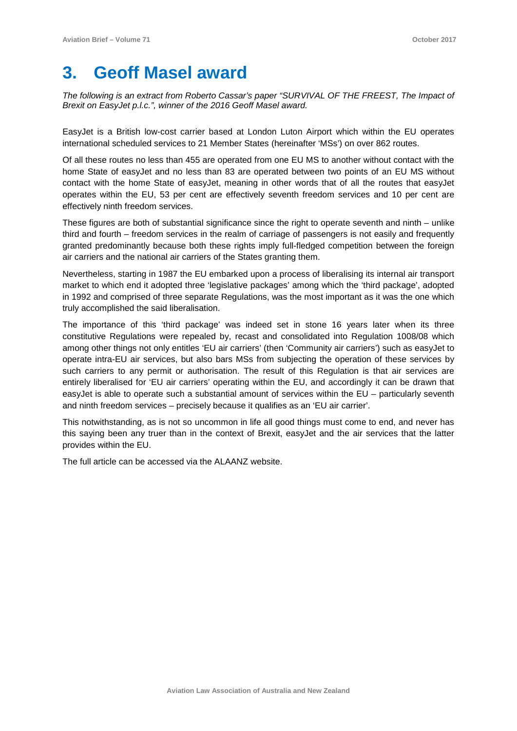## **3. Geoff Masel award**

*The following is an extract from Roberto Cassar's paper "SURVIVAL OF THE FREEST, The Impact of Brexit on EasyJet p.l.c.", winner of the 2016 Geoff Masel award.* 

EasyJet is a British low-cost carrier based at London Luton Airport which within the EU operates international scheduled services to 21 Member States (hereinafter 'MSs') on over 862 routes.

Of all these routes no less than 455 are operated from one EU MS to another without contact with the home State of easyJet and no less than 83 are operated between two points of an EU MS without contact with the home State of easyJet, meaning in other words that of all the routes that easyJet operates within the EU, 53 per cent are effectively seventh freedom services and 10 per cent are effectively ninth freedom services.

These figures are both of substantial significance since the right to operate seventh and ninth – unlike third and fourth – freedom services in the realm of carriage of passengers is not easily and frequently granted predominantly because both these rights imply full-fledged competition between the foreign air carriers and the national air carriers of the States granting them.

Nevertheless, starting in 1987 the EU embarked upon a process of liberalising its internal air transport market to which end it adopted three 'legislative packages' among which the 'third package', adopted in 1992 and comprised of three separate Regulations, was the most important as it was the one which truly accomplished the said liberalisation.

The importance of this 'third package' was indeed set in stone 16 years later when its three constitutive Regulations were repealed by, recast and consolidated into Regulation 1008/08 which among other things not only entitles 'EU air carriers' (then 'Community air carriers') such as easyJet to operate intra-EU air services, but also bars MSs from subjecting the operation of these services by such carriers to any permit or authorisation. The result of this Regulation is that air services are entirely liberalised for 'EU air carriers' operating within the EU, and accordingly it can be drawn that easyJet is able to operate such a substantial amount of services within the EU – particularly seventh and ninth freedom services – precisely because it qualifies as an 'EU air carrier'.

This notwithstanding, as is not so uncommon in life all good things must come to end, and never has this saying been any truer than in the context of Brexit, easyJet and the air services that the latter provides within the EU.

The full article can be accessed via the ALAANZ website.